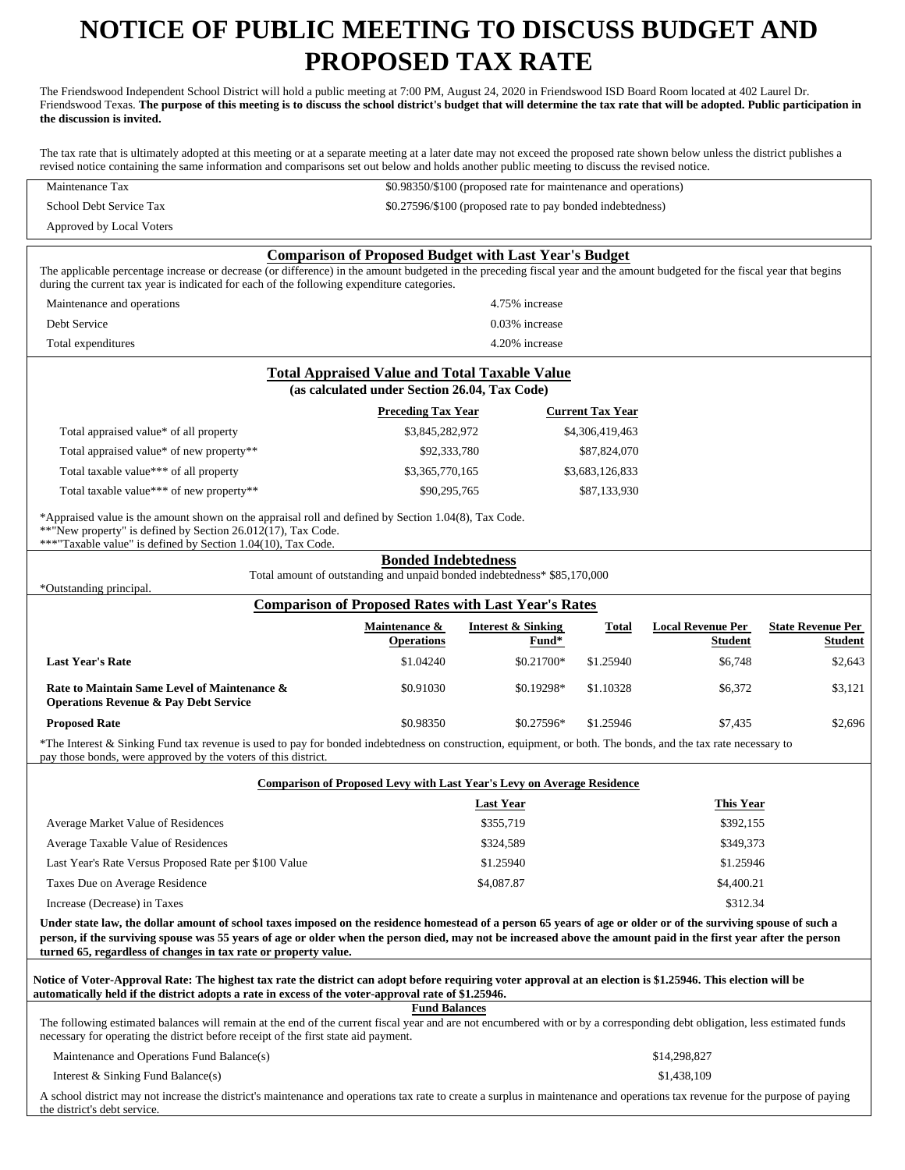# **NOTICE OF PUBLIC MEETING TO DISCUSS BUDGET AND PROPOSED TAX RATE**

The Friendswood Independent School District will hold a public meeting at 7:00 PM, August 24, 2020 in Friendswood ISD Board Room located at 402 Laurel Dr. Friendswood Texas. **The purpose of this meeting is to discuss the school district's budget that will determine the tax rate that will be adopted. Public participation in the discussion is invited.**

The tax rate that is ultimately adopted at this meeting or at a separate meeting at a later date may not exceed the proposed rate shown below unless the district publishes a revised notice containing the same information and comparisons set out below and holds another public meeting to discuss the revised notice.

\$0.98350/\$100 (proposed rate for maintenance and operations)

| School Debt Service Tax                                                                                                                                                                                                                                                                                                                                                                                |                                                                                                       | \$0.27596/\$100 (proposed rate to pay bonded indebtedness) |                         |                                     |                                            |
|--------------------------------------------------------------------------------------------------------------------------------------------------------------------------------------------------------------------------------------------------------------------------------------------------------------------------------------------------------------------------------------------------------|-------------------------------------------------------------------------------------------------------|------------------------------------------------------------|-------------------------|-------------------------------------|--------------------------------------------|
| Approved by Local Voters                                                                                                                                                                                                                                                                                                                                                                               |                                                                                                       |                                                            |                         |                                     |                                            |
| The applicable percentage increase or decrease (or difference) in the amount budgeted in the preceding fiscal year and the amount budgeted for the fiscal year that begins<br>during the current tax year is indicated for each of the following expenditure categories.                                                                                                                               | <b>Comparison of Proposed Budget with Last Year's Budget</b>                                          |                                                            |                         |                                     |                                            |
| Maintenance and operations                                                                                                                                                                                                                                                                                                                                                                             |                                                                                                       | 4.75% increase                                             |                         |                                     |                                            |
| Debt Service                                                                                                                                                                                                                                                                                                                                                                                           |                                                                                                       | 0.03% increase                                             |                         |                                     |                                            |
| Total expenditures                                                                                                                                                                                                                                                                                                                                                                                     |                                                                                                       | 4.20% increase                                             |                         |                                     |                                            |
|                                                                                                                                                                                                                                                                                                                                                                                                        |                                                                                                       |                                                            |                         |                                     |                                            |
|                                                                                                                                                                                                                                                                                                                                                                                                        | <b>Total Appraised Value and Total Taxable Value</b><br>(as calculated under Section 26.04, Tax Code) |                                                            |                         |                                     |                                            |
|                                                                                                                                                                                                                                                                                                                                                                                                        | <b>Preceding Tax Year</b>                                                                             |                                                            | <b>Current Tax Year</b> |                                     |                                            |
| Total appraised value* of all property                                                                                                                                                                                                                                                                                                                                                                 | \$3,845,282,972                                                                                       |                                                            | \$4,306,419,463         |                                     |                                            |
| Total appraised value* of new property**                                                                                                                                                                                                                                                                                                                                                               | \$92,333,780                                                                                          |                                                            | \$87,824,070            |                                     |                                            |
| Total taxable value*** of all property                                                                                                                                                                                                                                                                                                                                                                 | \$3,365,770,165                                                                                       |                                                            | \$3,683,126,833         |                                     |                                            |
| Total taxable value*** of new property**                                                                                                                                                                                                                                                                                                                                                               | \$90,295,765                                                                                          |                                                            | \$87,133,930            |                                     |                                            |
| *Appraised value is the amount shown on the appraisal roll and defined by Section 1.04(8), Tax Code.<br>**"New property" is defined by Section 26.012(17), Tax Code.<br>***"Taxable value" is defined by Section 1.04(10), Tax Code.                                                                                                                                                                   |                                                                                                       |                                                            |                         |                                     |                                            |
| <b>Bonded Indebtedness</b><br>Total amount of outstanding and unpaid bonded indebtedness* \$85,170,000<br>*Outstanding principal.                                                                                                                                                                                                                                                                      |                                                                                                       |                                                            |                         |                                     |                                            |
|                                                                                                                                                                                                                                                                                                                                                                                                        | <b>Comparison of Proposed Rates with Last Year's Rates</b>                                            |                                                            |                         |                                     |                                            |
|                                                                                                                                                                                                                                                                                                                                                                                                        | Maintenance &<br><b>Operations</b>                                                                    | <b>Interest &amp; Sinking</b><br>Fund*                     | Total                   | <b>Local Revenue Per</b><br>Student | <b>State Revenue Per</b><br><b>Student</b> |
| <b>Last Year's Rate</b>                                                                                                                                                                                                                                                                                                                                                                                | \$1.04240                                                                                             | \$0.21700*                                                 | \$1.25940               | \$6,748                             | \$2,643                                    |
| Rate to Maintain Same Level of Maintenance &<br><b>Operations Revenue &amp; Pay Debt Service</b>                                                                                                                                                                                                                                                                                                       | \$0.91030                                                                                             | \$0.19298*                                                 | \$1.10328               | \$6,372                             | \$3,121                                    |
| <b>Proposed Rate</b>                                                                                                                                                                                                                                                                                                                                                                                   | \$0.98350                                                                                             | \$0.27596*                                                 | \$1.25946               | \$7,435                             | \$2,696                                    |
| *The Interest & Sinking Fund tax revenue is used to pay for bonded indebtedness on construction, equipment, or both. The bonds, and the tax rate necessary to<br>pay those bonds, were approved by the voters of this district.                                                                                                                                                                        |                                                                                                       |                                                            |                         |                                     |                                            |
|                                                                                                                                                                                                                                                                                                                                                                                                        | <b>Comparison of Proposed Levy with Last Year's Levy on Average Residence</b>                         |                                                            |                         |                                     |                                            |
|                                                                                                                                                                                                                                                                                                                                                                                                        |                                                                                                       | <b>Last Year</b>                                           |                         | This Year                           |                                            |
| Average Market Value of Residences                                                                                                                                                                                                                                                                                                                                                                     |                                                                                                       | \$355,719                                                  |                         | \$392,155                           |                                            |
| Average Taxable Value of Residences                                                                                                                                                                                                                                                                                                                                                                    |                                                                                                       | \$324,589                                                  |                         | \$349,373                           |                                            |
| Last Year's Rate Versus Proposed Rate per \$100 Value                                                                                                                                                                                                                                                                                                                                                  |                                                                                                       | \$1.25940                                                  |                         | \$1.25946                           |                                            |
| Taxes Due on Average Residence                                                                                                                                                                                                                                                                                                                                                                         |                                                                                                       | \$4,087.87                                                 |                         | \$4,400.21                          |                                            |
| Increase (Decrease) in Taxes                                                                                                                                                                                                                                                                                                                                                                           |                                                                                                       |                                                            |                         | \$312.34                            |                                            |
| Under state law, the dollar amount of school taxes imposed on the residence homestead of a person 65 years of age or older or of the surviving spouse of such a<br>person, if the surviving spouse was 55 years of age or older when the person died, may not be increased above the amount paid in the first year after the person<br>turned 65, regardless of changes in tax rate or property value. |                                                                                                       |                                                            |                         |                                     |                                            |
| Notice of Voter-Approval Rate: The highest tax rate the district can adopt before requiring voter approval at an election is \$1.25946. This election will be<br>automatically held if the district adopts a rate in excess of the voter-approval rate of \$1.25946.                                                                                                                                   |                                                                                                       |                                                            |                         |                                     |                                            |
| <b>Fund Balances</b><br>The following estimated balances will remain at the end of the current fiscal year and are not encumbered with or by a corresponding debt obligation, less estimated funds<br>necessary for operating the district before receipt of the first state aid payment.                                                                                                              |                                                                                                       |                                                            |                         |                                     |                                            |
| Maintenance and Operations Fund Balance(s)                                                                                                                                                                                                                                                                                                                                                             |                                                                                                       |                                                            |                         | \$14,298,827                        |                                            |

Interest & Sinking Fund Balance(s)

Maintenance Tax

A school district may not increase the district's maintenance and operations tax rate to create a surplus in maintenance and operations tax revenue for the purpose of paying the district's debt service.

\$1,438,109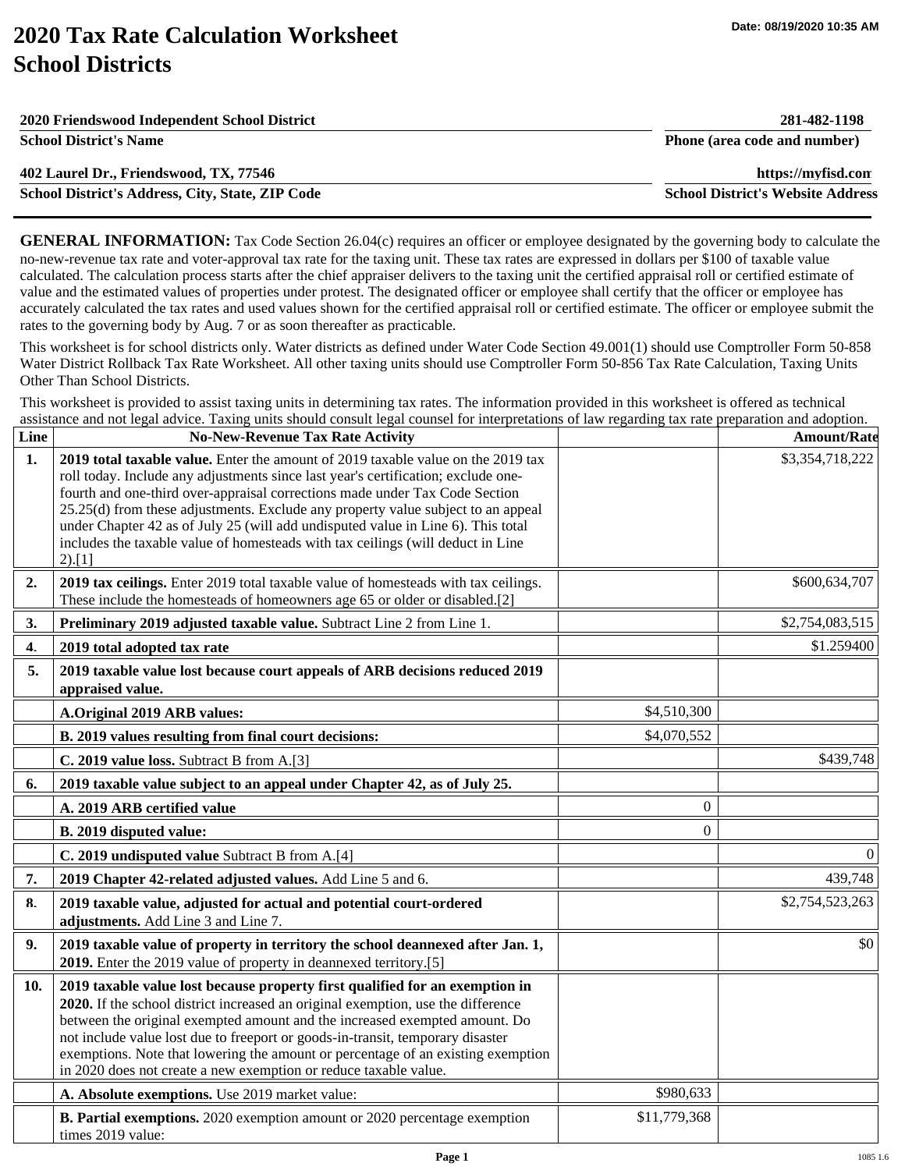# **2020 Tax Rate Calculation Worksheet School Districts**

| 2020 Friendswood Independent School District     | 281-482-1198                             |
|--------------------------------------------------|------------------------------------------|
| <b>School District's Name</b>                    | Phone (area code and number)             |
| 402 Laurel Dr., Friendswood, TX, 77546           | https://myfisd.com                       |
| School District's Address, City, State, ZIP Code | <b>School District's Website Address</b> |
|                                                  |                                          |

**GENERAL INFORMATION:** Tax Code Section 26.04(c) requires an officer or employee designated by the governing body to calculate the no-new-revenue tax rate and voter-approval tax rate for the taxing unit. These tax rates are expressed in dollars per \$100 of taxable value calculated. The calculation process starts after the chief appraiser delivers to the taxing unit the certified appraisal roll or certified estimate of value and the estimated values of properties under protest. The designated officer or employee shall certify that the officer or employee has accurately calculated the tax rates and used values shown for the certified appraisal roll or certified estimate. The officer or employee submit the rates to the governing body by Aug. 7 or as soon thereafter as practicable.

This worksheet is for school districts only. Water districts as defined under Water Code Section 49.001(1) should use Comptroller Form 50-858 Water District Rollback Tax Rate Worksheet. All other taxing units should use Comptroller Form 50-856 Tax Rate Calculation, Taxing Units Other Than School Districts.

This worksheet is provided to assist taxing units in determining tax rates. The information provided in this worksheet is offered as technical assistance and not legal advice. Taxing units should consult legal counsel for interpretations of law regarding tax rate preparation and adoption.

| Line           | <b>No-New-Revenue Tax Rate Activity</b>                                                                                                                                                                                                                                                                                                                                                                                                                                                                                   |                  | <b>Amount/Rate</b> |
|----------------|---------------------------------------------------------------------------------------------------------------------------------------------------------------------------------------------------------------------------------------------------------------------------------------------------------------------------------------------------------------------------------------------------------------------------------------------------------------------------------------------------------------------------|------------------|--------------------|
| 1 <sub>1</sub> | 2019 total taxable value. Enter the amount of 2019 taxable value on the 2019 tax<br>roll today. Include any adjustments since last year's certification; exclude one-<br>fourth and one-third over-appraisal corrections made under Tax Code Section<br>25.25(d) from these adjustments. Exclude any property value subject to an appeal<br>under Chapter 42 as of July 25 (will add undisputed value in Line 6). This total<br>includes the taxable value of homesteads with tax ceilings (will deduct in Line<br>2).[1] |                  | \$3,354,718,222    |
| 2.             | 2019 tax ceilings. Enter 2019 total taxable value of homesteads with tax ceilings.<br>These include the homesteads of homeowners age 65 or older or disabled.[2]                                                                                                                                                                                                                                                                                                                                                          |                  | \$600,634,707      |
| 3.             | Preliminary 2019 adjusted taxable value. Subtract Line 2 from Line 1.                                                                                                                                                                                                                                                                                                                                                                                                                                                     |                  | \$2,754,083,515    |
| 4.             | 2019 total adopted tax rate                                                                                                                                                                                                                                                                                                                                                                                                                                                                                               |                  | \$1.259400         |
| 5.             | 2019 taxable value lost because court appeals of ARB decisions reduced 2019<br>appraised value.                                                                                                                                                                                                                                                                                                                                                                                                                           |                  |                    |
|                | A.Original 2019 ARB values:                                                                                                                                                                                                                                                                                                                                                                                                                                                                                               | \$4,510,300      |                    |
|                | B. 2019 values resulting from final court decisions:                                                                                                                                                                                                                                                                                                                                                                                                                                                                      | \$4,070,552      |                    |
|                | C. 2019 value loss. Subtract B from A.[3]                                                                                                                                                                                                                                                                                                                                                                                                                                                                                 |                  | \$439,748          |
| 6.             | 2019 taxable value subject to an appeal under Chapter 42, as of July 25.                                                                                                                                                                                                                                                                                                                                                                                                                                                  |                  |                    |
|                | A. 2019 ARB certified value                                                                                                                                                                                                                                                                                                                                                                                                                                                                                               | $\theta$         |                    |
|                | B. 2019 disputed value:                                                                                                                                                                                                                                                                                                                                                                                                                                                                                                   | $\boldsymbol{0}$ |                    |
|                | C. 2019 undisputed value Subtract B from A.[4]                                                                                                                                                                                                                                                                                                                                                                                                                                                                            |                  | $\Omega$           |
| 7.             | 2019 Chapter 42-related adjusted values. Add Line 5 and 6.                                                                                                                                                                                                                                                                                                                                                                                                                                                                |                  | 439,748            |
| 8.             | 2019 taxable value, adjusted for actual and potential court-ordered<br>adjustments. Add Line 3 and Line 7.                                                                                                                                                                                                                                                                                                                                                                                                                |                  | \$2,754,523,263    |
| 9.             | 2019 taxable value of property in territory the school deannexed after Jan. 1,<br>2019. Enter the 2019 value of property in deannexed territory.[5]                                                                                                                                                                                                                                                                                                                                                                       |                  | \$0                |
| 10.            | 2019 taxable value lost because property first qualified for an exemption in<br>2020. If the school district increased an original exemption, use the difference<br>between the original exempted amount and the increased exempted amount. Do<br>not include value lost due to freeport or goods-in-transit, temporary disaster<br>exemptions. Note that lowering the amount or percentage of an existing exemption<br>in 2020 does not create a new exemption or reduce taxable value.                                  |                  |                    |
|                | A. Absolute exemptions. Use 2019 market value:                                                                                                                                                                                                                                                                                                                                                                                                                                                                            | \$980,633        |                    |
|                | <b>B. Partial exemptions.</b> 2020 exemption amount or 2020 percentage exemption<br>times 2019 value:                                                                                                                                                                                                                                                                                                                                                                                                                     | \$11,779,368     |                    |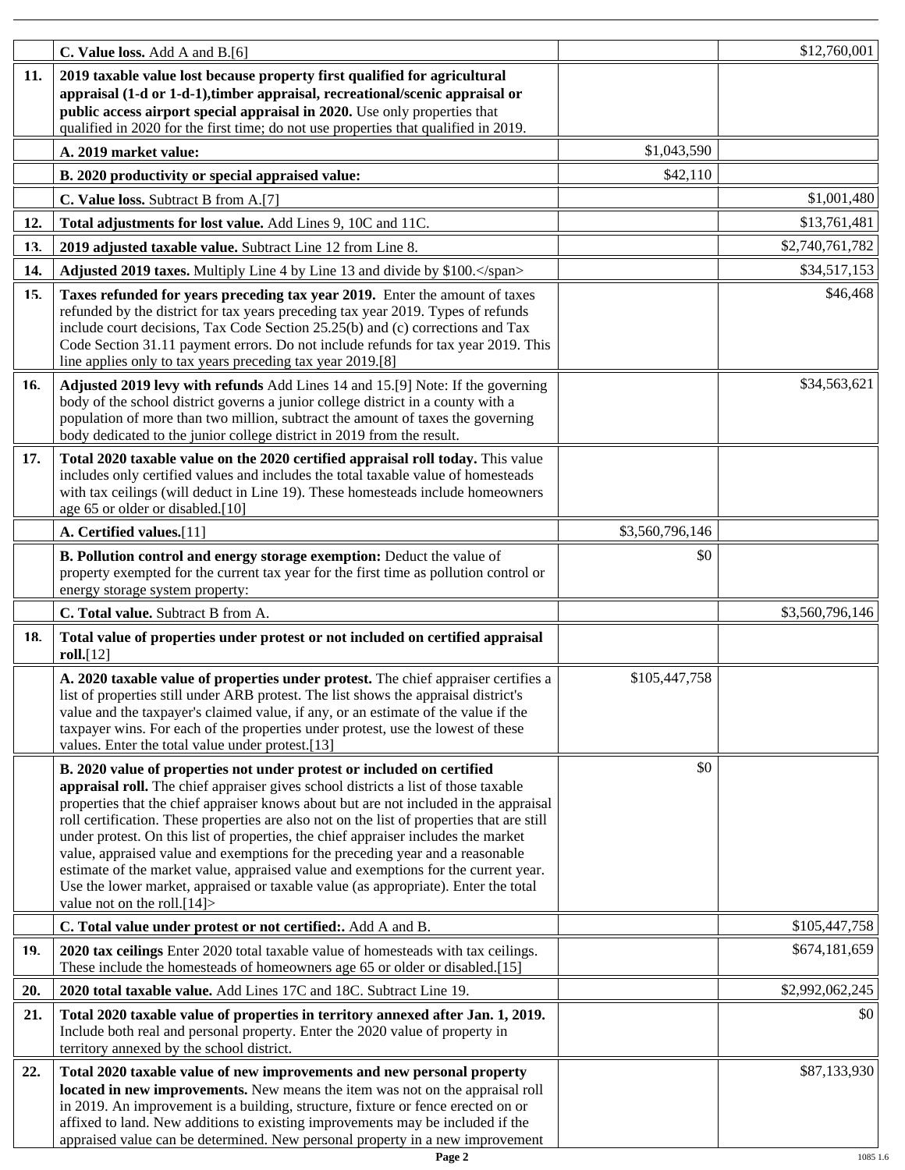|     | C. Value loss. Add A and B.[6]                                                                                                                                                                                                                                                                                                                                                                                                                                                                                                                                                                                                                                                                                                          |                 | \$12,760,001    |
|-----|-----------------------------------------------------------------------------------------------------------------------------------------------------------------------------------------------------------------------------------------------------------------------------------------------------------------------------------------------------------------------------------------------------------------------------------------------------------------------------------------------------------------------------------------------------------------------------------------------------------------------------------------------------------------------------------------------------------------------------------------|-----------------|-----------------|
| 11. | 2019 taxable value lost because property first qualified for agricultural<br>appraisal (1-d or 1-d-1), timber appraisal, recreational/scenic appraisal or<br>public access airport special appraisal in 2020. Use only properties that<br>qualified in 2020 for the first time; do not use properties that qualified in 2019.                                                                                                                                                                                                                                                                                                                                                                                                           |                 |                 |
|     | A. 2019 market value:                                                                                                                                                                                                                                                                                                                                                                                                                                                                                                                                                                                                                                                                                                                   | \$1,043,590     |                 |
|     | B. 2020 productivity or special appraised value:                                                                                                                                                                                                                                                                                                                                                                                                                                                                                                                                                                                                                                                                                        | \$42,110        |                 |
|     | C. Value loss. Subtract B from A.[7]                                                                                                                                                                                                                                                                                                                                                                                                                                                                                                                                                                                                                                                                                                    |                 | \$1,001,480     |
| 12. | Total adjustments for lost value. Add Lines 9, 10C and 11C.                                                                                                                                                                                                                                                                                                                                                                                                                                                                                                                                                                                                                                                                             |                 | \$13,761,481    |
| 13. | 2019 adjusted taxable value. Subtract Line 12 from Line 8.                                                                                                                                                                                                                                                                                                                                                                                                                                                                                                                                                                                                                                                                              |                 | \$2,740,761,782 |
| 14. | Adjusted 2019 taxes. Multiply Line 4 by Line 13 and divide by \$100.                                                                                                                                                                                                                                                                                                                                                                                                                                                                                                                                                                                                                                                                    |                 | \$34,517,153    |
| 15. | Taxes refunded for years preceding tax year 2019. Enter the amount of taxes<br>refunded by the district for tax years preceding tax year 2019. Types of refunds<br>include court decisions, Tax Code Section 25.25(b) and (c) corrections and Tax<br>Code Section 31.11 payment errors. Do not include refunds for tax year 2019. This<br>line applies only to tax years preceding tax year 2019.[8]                                                                                                                                                                                                                                                                                                                                    |                 | \$46,468        |
| 16. | Adjusted 2019 levy with refunds Add Lines 14 and 15.[9] Note: If the governing<br>body of the school district governs a junior college district in a county with a<br>population of more than two million, subtract the amount of taxes the governing<br>body dedicated to the junior college district in 2019 from the result.                                                                                                                                                                                                                                                                                                                                                                                                         |                 | \$34,563,621    |
| 17. | Total 2020 taxable value on the 2020 certified appraisal roll today. This value<br>includes only certified values and includes the total taxable value of homesteads<br>with tax ceilings (will deduct in Line 19). These homesteads include homeowners<br>age 65 or older or disabled.[10]                                                                                                                                                                                                                                                                                                                                                                                                                                             |                 |                 |
|     | A. Certified values.[11]                                                                                                                                                                                                                                                                                                                                                                                                                                                                                                                                                                                                                                                                                                                | \$3,560,796,146 |                 |
|     | B. Pollution control and energy storage exemption: Deduct the value of<br>property exempted for the current tax year for the first time as pollution control or<br>energy storage system property:                                                                                                                                                                                                                                                                                                                                                                                                                                                                                                                                      | \$0             |                 |
|     | C. Total value. Subtract B from A.                                                                                                                                                                                                                                                                                                                                                                                                                                                                                                                                                                                                                                                                                                      |                 | \$3,560,796,146 |
| 18. | Total value of properties under protest or not included on certified appraisal<br>roll.[12]                                                                                                                                                                                                                                                                                                                                                                                                                                                                                                                                                                                                                                             |                 |                 |
|     | A. 2020 taxable value of properties under protest. The chief appraiser certifies a<br>list of properties still under ARB protest. The list shows the appraisal district's<br>value and the taxpayer's claimed value, if any, or an estimate of the value if the<br>taxpayer wins. For each of the properties under protest, use the lowest of these<br>values. Enter the total value under protest.[13]                                                                                                                                                                                                                                                                                                                                 | \$105,447,758   |                 |
|     | B. 2020 value of properties not under protest or included on certified<br>appraisal roll. The chief appraiser gives school districts a list of those taxable<br>properties that the chief appraiser knows about but are not included in the appraisal<br>roll certification. These properties are also not on the list of properties that are still<br>under protest. On this list of properties, the chief appraiser includes the market<br>value, appraised value and exemptions for the preceding year and a reasonable<br>estimate of the market value, appraised value and exemptions for the current year.<br>Use the lower market, appraised or taxable value (as appropriate). Enter the total<br>value not on the roll. $[14]$ | \$0             |                 |
|     | C. Total value under protest or not certified:. Add A and B.                                                                                                                                                                                                                                                                                                                                                                                                                                                                                                                                                                                                                                                                            |                 | \$105,447,758   |
| 19. | 2020 tax ceilings Enter 2020 total taxable value of homesteads with tax ceilings.<br>These include the homesteads of homeowners age 65 or older or disabled.[15]                                                                                                                                                                                                                                                                                                                                                                                                                                                                                                                                                                        |                 | \$674,181,659   |
| 20. | 2020 total taxable value. Add Lines 17C and 18C. Subtract Line 19.                                                                                                                                                                                                                                                                                                                                                                                                                                                                                                                                                                                                                                                                      |                 | \$2,992,062,245 |
| 21. | Total 2020 taxable value of properties in territory annexed after Jan. 1, 2019.<br>Include both real and personal property. Enter the 2020 value of property in<br>territory annexed by the school district.                                                                                                                                                                                                                                                                                                                                                                                                                                                                                                                            |                 | \$0             |
| 22. | Total 2020 taxable value of new improvements and new personal property<br>located in new improvements. New means the item was not on the appraisal roll<br>in 2019. An improvement is a building, structure, fixture or fence erected on or<br>affixed to land. New additions to existing improvements may be included if the<br>appraised value can be determined. New personal property in a new improvement                                                                                                                                                                                                                                                                                                                          |                 | \$87,133,930    |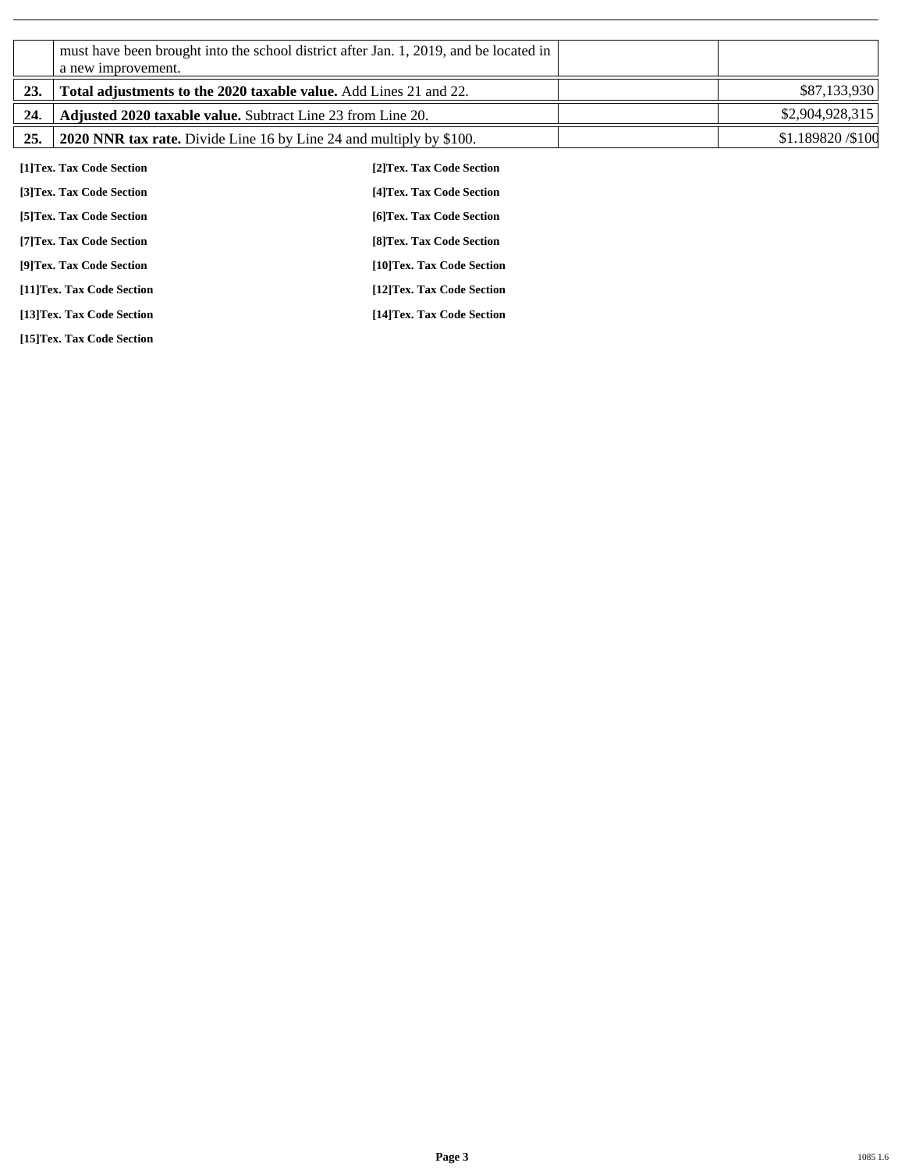|     | a new improvement.                                                  | must have been brought into the school district after Jan. 1, 2019, and be located in |                    |  |
|-----|---------------------------------------------------------------------|---------------------------------------------------------------------------------------|--------------------|--|
| 23. | Total adjustments to the 2020 taxable value. Add Lines 21 and 22.   |                                                                                       | \$87,133,930       |  |
| 24. | <b>Adjusted 2020 taxable value.</b> Subtract Line 23 from Line 20.  |                                                                                       | \$2,904,928,315    |  |
| 25. | 2020 NNR tax rate. Divide Line 16 by Line 24 and multiply by \$100. |                                                                                       | \$1.189820 / \$100 |  |
|     | [1]Tex. Tax Code Section                                            | [2] Tex. Tax Code Section                                                             |                    |  |
|     | [3] Tex. Tax Code Section                                           | [4] Tex. Tax Code Section                                                             |                    |  |
|     | [5] Tex. Tax Code Section                                           | [6] Tex. Tax Code Section                                                             |                    |  |
|     | [7] Tex. Tax Code Section                                           | [8] Tex. Tax Code Section                                                             |                    |  |
|     | [9]Tex. Tax Code Section                                            | [10]Tex. Tax Code Section                                                             |                    |  |
|     | [11]Tex. Tax Code Section                                           | [12]Tex. Tax Code Section                                                             |                    |  |
|     | [13]Tex. Tax Code Section                                           | [14]Tex. Tax Code Section                                                             |                    |  |

**[15]Tex. Tax Code Section**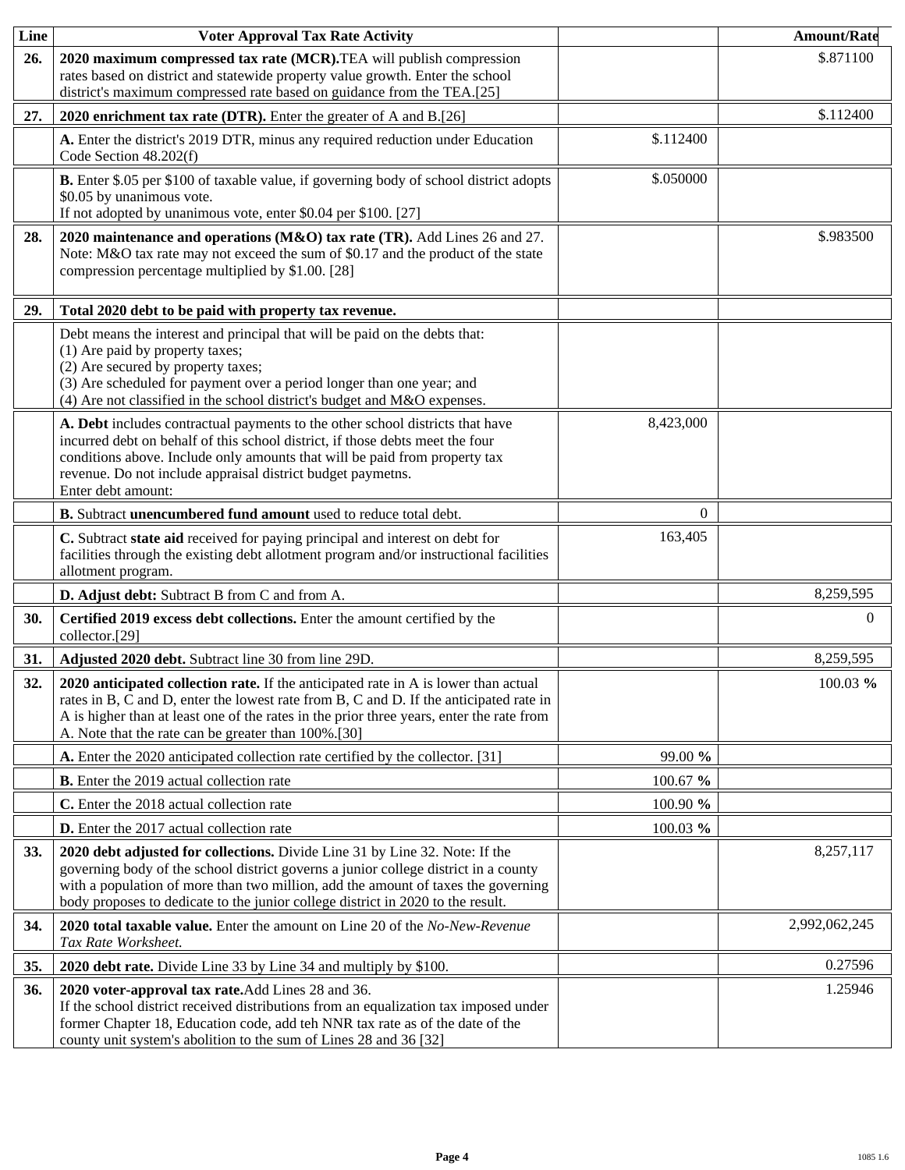| Line       | <b>Voter Approval Tax Rate Activity</b>                                                                                                                                                                                                                                                                                                    |           | <b>Amount/Rate</b> |
|------------|--------------------------------------------------------------------------------------------------------------------------------------------------------------------------------------------------------------------------------------------------------------------------------------------------------------------------------------------|-----------|--------------------|
| 26.        | 2020 maximum compressed tax rate (MCR). TEA will publish compression<br>rates based on district and statewide property value growth. Enter the school<br>district's maximum compressed rate based on guidance from the TEA.[25]                                                                                                            |           | \$.871100          |
| 27.        | 2020 enrichment tax rate (DTR). Enter the greater of A and B.[26]                                                                                                                                                                                                                                                                          |           | \$.112400          |
|            | A. Enter the district's 2019 DTR, minus any required reduction under Education<br>Code Section 48.202(f)                                                                                                                                                                                                                                   | \$.112400 |                    |
|            | B. Enter \$.05 per \$100 of taxable value, if governing body of school district adopts<br>\$0.05 by unanimous vote.<br>If not adopted by unanimous vote, enter \$0.04 per \$100. [27]                                                                                                                                                      | \$.050000 |                    |
| 28.        | 2020 maintenance and operations (M&O) tax rate (TR). Add Lines 26 and 27.<br>Note: M&O tax rate may not exceed the sum of \$0.17 and the product of the state<br>compression percentage multiplied by \$1.00. [28]                                                                                                                         |           | \$.983500          |
| 29.        | Total 2020 debt to be paid with property tax revenue.                                                                                                                                                                                                                                                                                      |           |                    |
|            | Debt means the interest and principal that will be paid on the debts that:<br>(1) Are paid by property taxes;<br>(2) Are secured by property taxes;<br>(3) Are scheduled for payment over a period longer than one year; and<br>(4) Are not classified in the school district's budget and M&O expenses.                                   |           |                    |
|            | A. Debt includes contractual payments to the other school districts that have<br>incurred debt on behalf of this school district, if those debts meet the four<br>conditions above. Include only amounts that will be paid from property tax<br>revenue. Do not include appraisal district budget paymetns.<br>Enter debt amount:          | 8,423,000 |                    |
|            | B. Subtract unencumbered fund amount used to reduce total debt.                                                                                                                                                                                                                                                                            | $\Omega$  |                    |
|            | C. Subtract state aid received for paying principal and interest on debt for<br>facilities through the existing debt allotment program and/or instructional facilities<br>allotment program.                                                                                                                                               | 163,405   |                    |
|            | D. Adjust debt: Subtract B from C and from A.                                                                                                                                                                                                                                                                                              |           | 8,259,595          |
| 30.        | Certified 2019 excess debt collections. Enter the amount certified by the<br>collector.[29]                                                                                                                                                                                                                                                |           | $\Omega$           |
| 31.        | Adjusted 2020 debt. Subtract line 30 from line 29D.                                                                                                                                                                                                                                                                                        |           | 8,259,595          |
| 32.        | 2020 anticipated collection rate. If the anticipated rate in A is lower than actual<br>rates in B, C and D, enter the lowest rate from B, C and D. If the anticipated rate in<br>A is higher than at least one of the rates in the prior three years, enter the rate from<br>A. Note that the rate can be greater than 100%.[30]           |           | 100.03 %           |
|            | A. Enter the 2020 anticipated collection rate certified by the collector. [31]                                                                                                                                                                                                                                                             | 99.00 %   |                    |
|            | <b>B.</b> Enter the 2019 actual collection rate                                                                                                                                                                                                                                                                                            | 100.67 %  |                    |
|            | C. Enter the 2018 actual collection rate                                                                                                                                                                                                                                                                                                   | 100.90 %  |                    |
|            | <b>D.</b> Enter the 2017 actual collection rate                                                                                                                                                                                                                                                                                            | 100.03 %  |                    |
| <b>33.</b> | 2020 debt adjusted for collections. Divide Line 31 by Line 32. Note: If the<br>governing body of the school district governs a junior college district in a county<br>with a population of more than two million, add the amount of taxes the governing<br>body proposes to dedicate to the junior college district in 2020 to the result. |           | 8,257,117          |
| 34.        | 2020 total taxable value. Enter the amount on Line 20 of the No-New-Revenue<br>Tax Rate Worksheet.                                                                                                                                                                                                                                         |           | 2,992,062,245      |
| 35.        | 2020 debt rate. Divide Line 33 by Line 34 and multiply by \$100.                                                                                                                                                                                                                                                                           |           | 0.27596            |
| 36.        | 2020 voter-approval tax rate. Add Lines 28 and 36.<br>If the school district received distributions from an equalization tax imposed under<br>former Chapter 18, Education code, add teh NNR tax rate as of the date of the<br>county unit system's abolition to the sum of Lines 28 and 36 [32]                                           |           | 1.25946            |